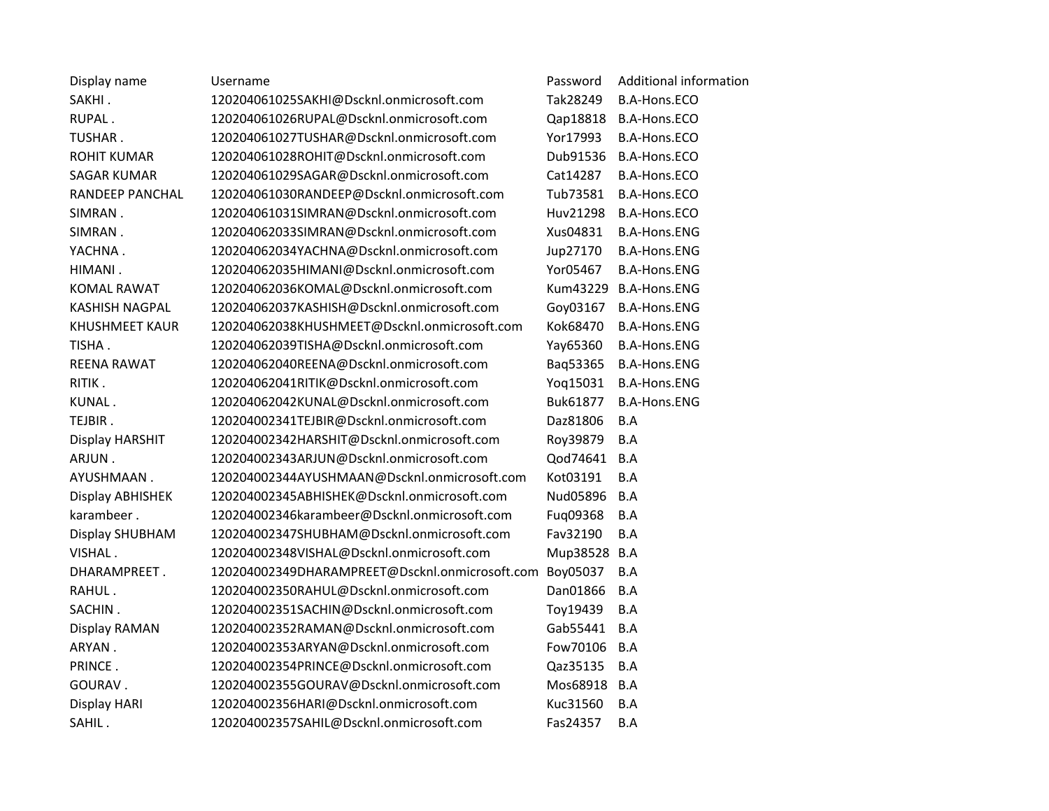| Display name          | Username                                       | Password | Additional information |
|-----------------------|------------------------------------------------|----------|------------------------|
| SAKHI.                | 120204061025SAKHI@Dscknl.onmicrosoft.com       | Tak28249 | B.A-Hons.ECO           |
| RUPAL.                | 120204061026RUPAL@Dscknl.onmicrosoft.com       | Qap18818 | B.A-Hons.ECO           |
| TUSHAR.               | 120204061027TUSHAR@Dscknl.onmicrosoft.com      | Yor17993 | B.A-Hons.ECO           |
| <b>ROHIT KUMAR</b>    | 120204061028ROHIT@Dscknl.onmicrosoft.com       | Dub91536 | B.A-Hons.ECO           |
| <b>SAGAR KUMAR</b>    | 120204061029SAGAR@Dscknl.onmicrosoft.com       | Cat14287 | B.A-Hons.ECO           |
| RANDEEP PANCHAL       | 120204061030RANDEEP@Dscknl.onmicrosoft.com     | Tub73581 | B.A-Hons.ECO           |
| SIMRAN.               | 120204061031SIMRAN@Dscknl.onmicrosoft.com      | Huv21298 | B.A-Hons.ECO           |
| SIMRAN.               | 120204062033SIMRAN@Dscknl.onmicrosoft.com      | Xus04831 | <b>B.A-Hons.ENG</b>    |
| YACHNA.               | 120204062034YACHNA@Dscknl.onmicrosoft.com      | Jup27170 | B.A-Hons.ENG           |
| HIMANI.               | 120204062035HIMANI@Dscknl.onmicrosoft.com      | Yor05467 | <b>B.A-Hons.ENG</b>    |
| <b>KOMAL RAWAT</b>    | 120204062036KOMAL@Dscknl.onmicrosoft.com       | Kum43229 | <b>B.A-Hons.ENG</b>    |
| <b>KASHISH NAGPAL</b> | 120204062037KASHISH@Dscknl.onmicrosoft.com     | Goy03167 | <b>B.A-Hons.ENG</b>    |
| <b>KHUSHMEET KAUR</b> | 120204062038KHUSHMEET@Dscknl.onmicrosoft.com   | Kok68470 | <b>B.A-Hons.ENG</b>    |
| TISHA.                | 120204062039TISHA@Dscknl.onmicrosoft.com       | Yay65360 | <b>B.A-Hons.ENG</b>    |
| <b>REENA RAWAT</b>    | 120204062040REENA@Dscknl.onmicrosoft.com       | Baq53365 | <b>B.A-Hons.ENG</b>    |
| RITIK.                | 120204062041RITIK@Dscknl.onmicrosoft.com       | Yoq15031 | <b>B.A-Hons.ENG</b>    |
| KUNAL.                | 120204062042KUNAL@Dscknl.onmicrosoft.com       | Buk61877 | <b>B.A-Hons.ENG</b>    |
| TEJBIR.               | 120204002341TEJBIR@Dscknl.onmicrosoft.com      | Daz81806 | B.A                    |
| Display HARSHIT       | 120204002342HARSHIT@Dscknl.onmicrosoft.com     | Roy39879 | B.A                    |
| ARJUN.                | 120204002343ARJUN@Dscknl.onmicrosoft.com       | Qod74641 | B.A                    |
| AYUSHMAAN.            | 120204002344AYUSHMAAN@Dscknl.onmicrosoft.com   | Kot03191 | B.A                    |
| Display ABHISHEK      | 120204002345ABHISHEK@Dscknl.onmicrosoft.com    | Nud05896 | B.A                    |
| karambeer.            | 120204002346karambeer@Dscknl.onmicrosoft.com   | Fuq09368 | B.A                    |
| Display SHUBHAM       | 120204002347SHUBHAM@Dscknl.onmicrosoft.com     | Fav32190 | B.A                    |
| VISHAL.               | 120204002348VISHAL@Dscknl.onmicrosoft.com      | Mup38528 | B.A                    |
| DHARAMPREET.          | 120204002349DHARAMPREET@Dscknl.onmicrosoft.com | Boy05037 | B.A                    |
| RAHUL.                | 120204002350RAHUL@Dscknl.onmicrosoft.com       | Dan01866 | B.A                    |
| SACHIN.               | 120204002351SACHIN@Dscknl.onmicrosoft.com      | Toy19439 | B.A                    |
| Display RAMAN         | 120204002352RAMAN@Dscknl.onmicrosoft.com       | Gab55441 | B.A                    |
| ARYAN.                | 120204002353ARYAN@Dscknl.onmicrosoft.com       | Fow70106 | B.A                    |
| PRINCE.               | 120204002354PRINCE@Dscknl.onmicrosoft.com      | Qaz35135 | B.A                    |
| GOURAV.               | 120204002355GOURAV@Dscknl.onmicrosoft.com      | Mos68918 | B.A                    |
| Display HARI          | 120204002356HARI@Dscknl.onmicrosoft.com        | Kuc31560 | B.A                    |
| SAHIL.                | 120204002357SAHIL@Dscknl.onmicrosoft.com       | Fas24357 | B.A                    |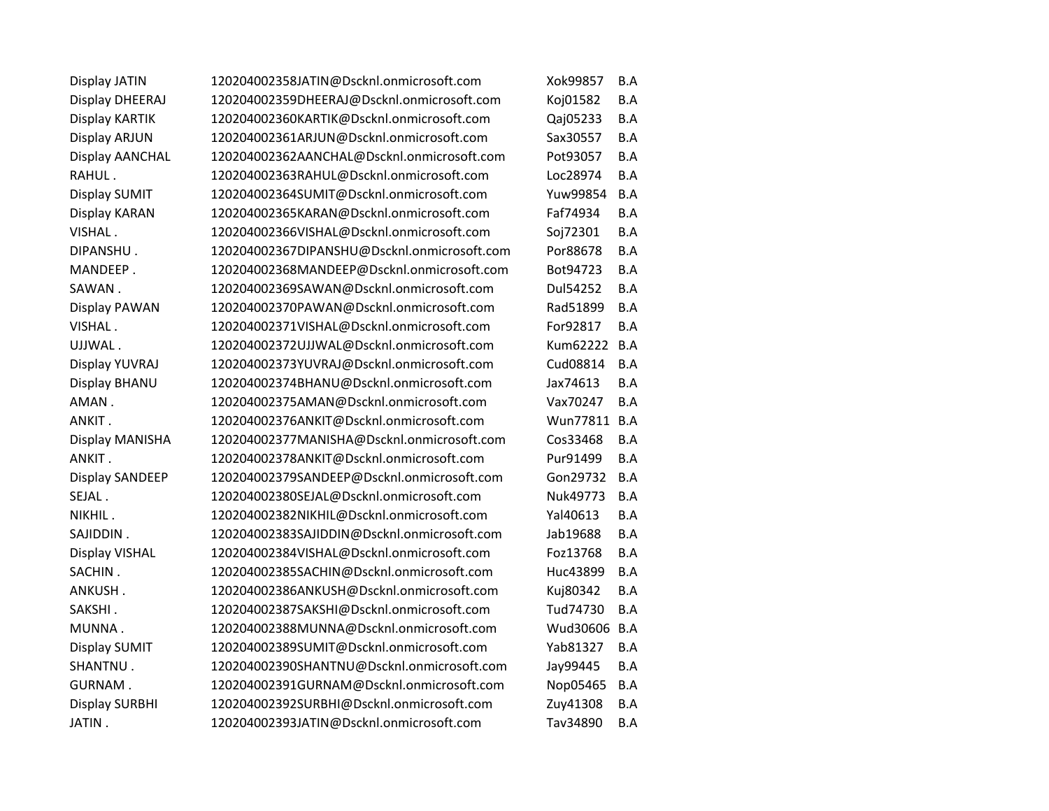| Display JATIN        | 120204002358JATIN@Dscknl.onmicrosoft.com    | Xok99857     | B.A |
|----------------------|---------------------------------------------|--------------|-----|
| Display DHEERAJ      | 120204002359DHEERAJ@Dscknl.onmicrosoft.com  | Koj01582     | B.A |
| Display KARTIK       | 120204002360KARTIK@Dscknl.onmicrosoft.com   | Qaj05233     | B.A |
| Display ARJUN        | 120204002361ARJUN@Dscknl.onmicrosoft.com    | Sax30557     | B.A |
| Display AANCHAL      | 120204002362AANCHAL@Dscknl.onmicrosoft.com  | Pot93057     | B.A |
| RAHUL.               | 120204002363RAHUL@Dscknl.onmicrosoft.com    | Loc28974     | B.A |
| Display SUMIT        | 120204002364SUMIT@Dscknl.onmicrosoft.com    | Yuw99854     | B.A |
| Display KARAN        | 120204002365KARAN@Dscknl.onmicrosoft.com    | Faf74934     | B.A |
| VISHAL.              | 120204002366VISHAL@Dscknl.onmicrosoft.com   | Soj72301     | B.A |
| DIPANSHU.            | 120204002367DIPANSHU@Dscknl.onmicrosoft.com | Por88678     | B.A |
| MANDEEP.             | 120204002368MANDEEP@Dscknl.onmicrosoft.com  | Bot94723     | B.A |
| SAWAN.               | 120204002369SAWAN@Dscknl.onmicrosoft.com    | Dul54252     | B.A |
| Display PAWAN        | 120204002370PAWAN@Dscknl.onmicrosoft.com    | Rad51899     | B.A |
| VISHAL.              | 120204002371VISHAL@Dscknl.onmicrosoft.com   | For92817     | B.A |
| UJJWAL.              | 120204002372UJJWAL@Dscknl.onmicrosoft.com   | Kum62222     | B.A |
| Display YUVRAJ       | 120204002373YUVRAJ@Dscknl.onmicrosoft.com   | Cud08814     | B.A |
| Display BHANU        | 120204002374BHANU@Dscknl.onmicrosoft.com    | Jax74613     | B.A |
| AMAN.                | 120204002375AMAN@Dscknl.onmicrosoft.com     | Vax70247     | B.A |
| ANKIT.               | 120204002376ANKIT@Dscknl.onmicrosoft.com    | Wun77811 B.A |     |
| Display MANISHA      | 120204002377MANISHA@Dscknl.onmicrosoft.com  | Cos33468     | B.A |
| ANKIT.               | 120204002378ANKIT@Dscknl.onmicrosoft.com    | Pur91499     | B.A |
| Display SANDEEP      | 120204002379SANDEEP@Dscknl.onmicrosoft.com  | Gon29732     | B.A |
| SEJAL.               | 120204002380SEJAL@Dscknl.onmicrosoft.com    | Nuk49773     | B.A |
| NIKHIL.              | 120204002382NIKHIL@Dscknl.onmicrosoft.com   | Yal40613     | B.A |
| SAJIDDIN.            | 120204002383SAJIDDIN@Dscknl.onmicrosoft.com | Jab19688     | B.A |
| Display VISHAL       | 120204002384VISHAL@Dscknl.onmicrosoft.com   | Foz13768     | B.A |
| SACHIN.              | 120204002385SACHIN@Dscknl.onmicrosoft.com   | Huc43899     | B.A |
| ANKUSH.              | 120204002386ANKUSH@Dscknl.onmicrosoft.com   | Kuj80342     | B.A |
| SAKSHI.              | 120204002387SAKSHI@Dscknl.onmicrosoft.com   | Tud74730     | B.A |
| MUNNA.               | 120204002388MUNNA@Dscknl.onmicrosoft.com    | Wud30606 B.A |     |
| <b>Display SUMIT</b> | 120204002389SUMIT@Dscknl.onmicrosoft.com    | Yab81327     | B.A |
| SHANTNU.             | 120204002390SHANTNU@Dscknl.onmicrosoft.com  | Jay99445     | B.A |
| GURNAM.              | 120204002391GURNAM@Dscknl.onmicrosoft.com   | Nop05465     | B.A |
| Display SURBHI       | 120204002392SURBHI@Dscknl.onmicrosoft.com   | Zuy41308     | B.A |
| JATIN.               | 120204002393JATIN@Dscknl.onmicrosoft.com    | Tav34890     | B.A |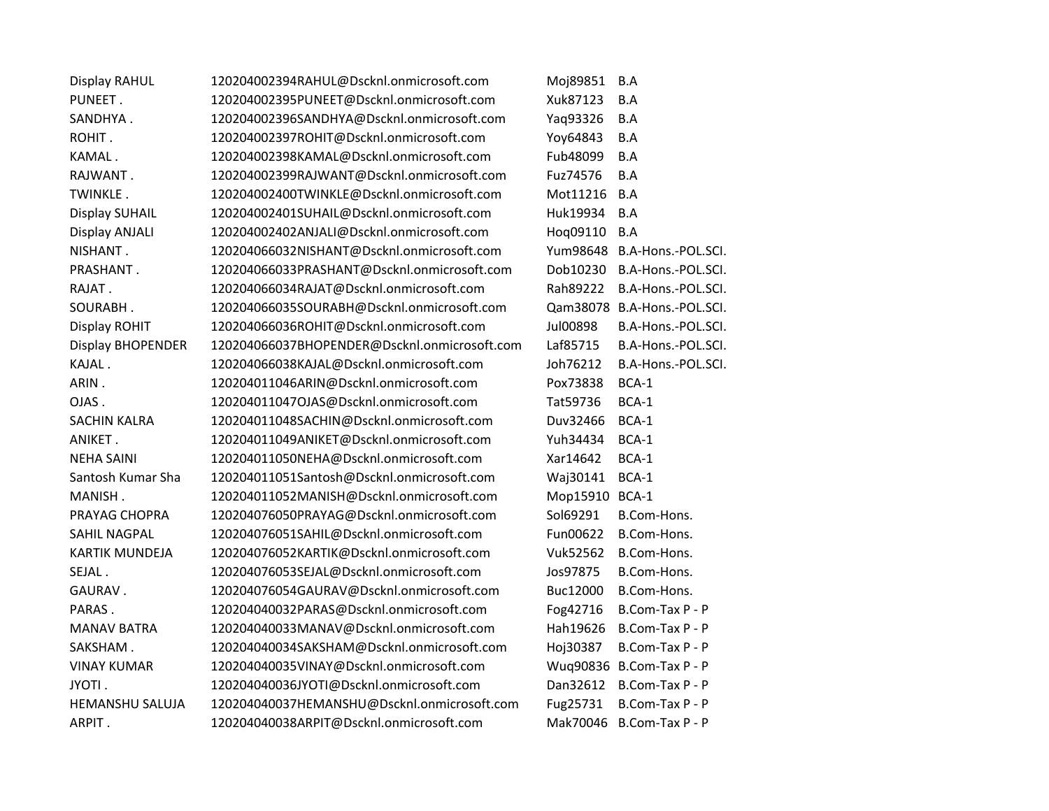| Display RAHUL          | 120204002394RAHUL@Dscknl.onmicrosoft.com     | Moj89851        | B.A                         |
|------------------------|----------------------------------------------|-----------------|-----------------------------|
| PUNEET.                | 120204002395PUNEET@Dscknl.onmicrosoft.com    | Xuk87123        | B.A                         |
| SANDHYA.               | 120204002396SANDHYA@Dscknl.onmicrosoft.com   | Yaq93326        | B.A                         |
| ROHIT.                 | 120204002397ROHIT@Dscknl.onmicrosoft.com     | Yoy64843        | B.A                         |
| KAMAL.                 | 120204002398KAMAL@Dscknl.onmicrosoft.com     | Fub48099        | B.A                         |
| RAJWANT.               | 120204002399RAJWANT@Dscknl.onmicrosoft.com   | Fuz74576        | B.A                         |
| TWINKLE.               | 120204002400TWINKLE@Dscknl.onmicrosoft.com   | Mot11216        | B.A                         |
| <b>Display SUHAIL</b>  | 120204002401SUHAIL@Dscknl.onmicrosoft.com    | Huk19934        | B.A                         |
| Display ANJALI         | 120204002402ANJALI@Dscknl.onmicrosoft.com    | Hoq09110        | B.A                         |
| NISHANT.               | 120204066032NISHANT@Dscknl.onmicrosoft.com   | Yum98648        | B.A-Hons.-POL.SCI.          |
| PRASHANT.              | 120204066033PRASHANT@Dscknl.onmicrosoft.com  | Dob10230        | B.A-Hons.-POL.SCI.          |
| RAJAT.                 | 120204066034RAJAT@Dscknl.onmicrosoft.com     | Rah89222        | B.A-Hons.-POL.SCI.          |
| SOURABH.               | 120204066035SOURABH@Dscknl.onmicrosoft.com   |                 | Qam38078 B.A-Hons.-POL.SCI. |
| Display ROHIT          | 120204066036ROHIT@Dscknl.onmicrosoft.com     | Jul00898        | B.A-Hons.-POL.SCI.          |
| Display BHOPENDER      | 120204066037BHOPENDER@Dscknl.onmicrosoft.com | Laf85715        | B.A-Hons.-POL.SCI.          |
| KAJAL.                 | 120204066038KAJAL@Dscknl.onmicrosoft.com     | Joh76212        | B.A-Hons.-POL.SCI.          |
| ARIN.                  | 120204011046ARIN@Dscknl.onmicrosoft.com      | Pox73838        | BCA-1                       |
| OJAS.                  | 120204011047OJAS@Dscknl.onmicrosoft.com      | Tat59736        | BCA-1                       |
| <b>SACHIN KALRA</b>    | 120204011048SACHIN@Dscknl.onmicrosoft.com    | Duv32466        | BCA-1                       |
| ANIKET.                | 120204011049ANIKET@Dscknl.onmicrosoft.com    | Yuh34434        | BCA-1                       |
| <b>NEHA SAINI</b>      | 120204011050NEHA@Dscknl.onmicrosoft.com      | Xar14642        | BCA-1                       |
| Santosh Kumar Sha      | 120204011051Santosh@Dscknl.onmicrosoft.com   | Waj30141        | BCA-1                       |
| MANISH.                | 120204011052MANISH@Dscknl.onmicrosoft.com    | Mop15910        | BCA-1                       |
| PRAYAG CHOPRA          | 120204076050PRAYAG@Dscknl.onmicrosoft.com    | Sol69291        | B.Com-Hons.                 |
| SAHIL NAGPAL           | 120204076051SAHIL@Dscknl.onmicrosoft.com     | Fun00622        | B.Com-Hons.                 |
| <b>KARTIK MUNDEJA</b>  | 120204076052KARTIK@Dscknl.onmicrosoft.com    | <b>Vuk52562</b> | B.Com-Hons.                 |
| SEJAL.                 | 120204076053SEJAL@Dscknl.onmicrosoft.com     | Jos97875        | B.Com-Hons.                 |
| GAURAV.                | 120204076054GAURAV@Dscknl.onmicrosoft.com    | Buc12000        | B.Com-Hons.                 |
| PARAS.                 | 120204040032PARAS@Dscknl.onmicrosoft.com     | Fog42716        | B.Com-Tax P - P             |
| <b>MANAV BATRA</b>     | 120204040033MANAV@Dscknl.onmicrosoft.com     | Hah19626        | B.Com-Tax P - P             |
| SAKSHAM.               | 120204040034SAKSHAM@Dscknl.onmicrosoft.com   | Hoj30387        | B.Com-Tax P - P             |
| <b>VINAY KUMAR</b>     | 120204040035VINAY@Dscknl.onmicrosoft.com     | Wuq90836        | B.Com-Tax P - P             |
| JYOTI.                 | 120204040036JYOTI@Dscknl.onmicrosoft.com     | Dan32612        | B.Com-Tax P - P             |
| <b>HEMANSHU SALUJA</b> | 120204040037HEMANSHU@Dscknl.onmicrosoft.com  | Fug25731        | B.Com-Tax P - P             |
| ARPIT.                 | 120204040038ARPIT@Dscknl.onmicrosoft.com     | Mak70046        | B.Com-Tax P - P             |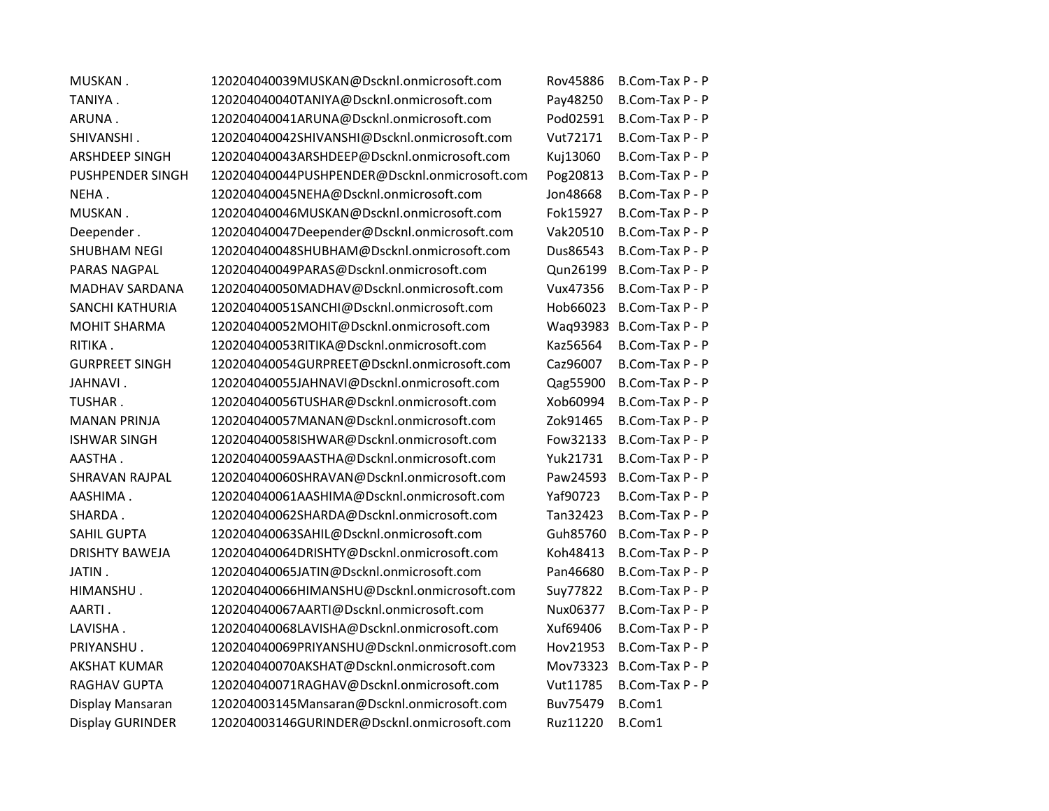| MUSKAN.                 | 120204040039MUSKAN@Dscknl.onmicrosoft.com     | Rov45886 | B.Com-Tax P - P |
|-------------------------|-----------------------------------------------|----------|-----------------|
| TANIYA.                 | 120204040040TANIYA@Dscknl.onmicrosoft.com     | Pay48250 | B.Com-Tax P - P |
| ARUNA.                  | 120204040041ARUNA@Dscknl.onmicrosoft.com      | Pod02591 | B.Com-Tax P - P |
| SHIVANSHI.              | 120204040042SHIVANSHI@Dscknl.onmicrosoft.com  | Vut72171 | B.Com-Tax P - P |
| ARSHDEEP SINGH          | 120204040043ARSHDEEP@Dscknl.onmicrosoft.com   | Kuj13060 | B.Com-Tax P - P |
| <b>PUSHPENDER SINGH</b> | 120204040044PUSHPENDER@Dscknl.onmicrosoft.com | Pog20813 | B.Com-Tax P - P |
| NEHA.                   | 120204040045NEHA@Dscknl.onmicrosoft.com       | Jon48668 | B.Com-Tax P - P |
| MUSKAN.                 | 120204040046MUSKAN@Dscknl.onmicrosoft.com     | Fok15927 | B.Com-Tax P - P |
| Deepender.              | 120204040047Deepender@Dscknl.onmicrosoft.com  | Vak20510 | B.Com-Tax P - P |
| <b>SHUBHAM NEGI</b>     | 120204040048SHUBHAM@Dscknl.onmicrosoft.com    | Dus86543 | B.Com-Tax P - P |
| PARAS NAGPAL            | 120204040049PARAS@Dscknl.onmicrosoft.com      | Qun26199 | B.Com-Tax P - P |
| <b>MADHAV SARDANA</b>   | 120204040050MADHAV@Dscknl.onmicrosoft.com     | Vux47356 | B.Com-Tax P - P |
| SANCHI KATHURIA         | 120204040051SANCHI@Dscknl.onmicrosoft.com     | Hob66023 | B.Com-Tax P - P |
| <b>MOHIT SHARMA</b>     | 120204040052MOHIT@Dscknl.onmicrosoft.com      | Waq93983 | B.Com-Tax P - P |
| RITIKA.                 | 120204040053RITIKA@Dscknl.onmicrosoft.com     | Kaz56564 | B.Com-Tax P - P |
| <b>GURPREET SINGH</b>   | 120204040054GURPREET@Dscknl.onmicrosoft.com   | Caz96007 | B.Com-Tax P - P |
| JAHNAVI.                | 120204040055JAHNAVI@Dscknl.onmicrosoft.com    | Qag55900 | B.Com-Tax P - P |
| TUSHAR.                 | 120204040056TUSHAR@Dscknl.onmicrosoft.com     | Xob60994 | B.Com-Tax P - P |
| <b>MANAN PRINJA</b>     | 120204040057MANAN@Dscknl.onmicrosoft.com      | Zok91465 | B.Com-Tax P - P |
| <b>ISHWAR SINGH</b>     | 120204040058ISHWAR@Dscknl.onmicrosoft.com     | Fow32133 | B.Com-Tax P - P |
| AASTHA.                 | 120204040059AASTHA@Dscknl.onmicrosoft.com     | Yuk21731 | B.Com-Tax P - P |
| <b>SHRAVAN RAJPAL</b>   | 120204040060SHRAVAN@Dscknl.onmicrosoft.com    | Paw24593 | B.Com-Tax P - P |
| AASHIMA.                | 120204040061AASHIMA@Dscknl.onmicrosoft.com    | Yaf90723 | B.Com-Tax P - P |
| SHARDA.                 | 120204040062SHARDA@Dscknl.onmicrosoft.com     | Tan32423 | B.Com-Tax P - P |
| <b>SAHIL GUPTA</b>      | 120204040063SAHIL@Dscknl.onmicrosoft.com      | Guh85760 | B.Com-Tax P - P |
| <b>DRISHTY BAWEJA</b>   | 120204040064DRISHTY@Dscknl.onmicrosoft.com    | Koh48413 | B.Com-Tax P - P |
| JATIN.                  | 120204040065JATIN@Dscknl.onmicrosoft.com      | Pan46680 | B.Com-Tax P - P |
| HIMANSHU.               | 120204040066HIMANSHU@Dscknl.onmicrosoft.com   | Suy77822 | B.Com-Tax P - P |
| AARTI.                  | 120204040067AARTI@Dscknl.onmicrosoft.com      | Nux06377 | B.Com-Tax P - P |
| LAVISHA.                | 120204040068LAVISHA@Dscknl.onmicrosoft.com    | Xuf69406 | B.Com-Tax P - P |
| PRIYANSHU.              | 120204040069PRIYANSHU@Dscknl.onmicrosoft.com  | Hov21953 | B.Com-Tax P - P |
| <b>AKSHAT KUMAR</b>     | 120204040070AKSHAT@Dscknl.onmicrosoft.com     | Mov73323 | B.Com-Tax P - P |
| <b>RAGHAV GUPTA</b>     | 120204040071RAGHAV@Dscknl.onmicrosoft.com     | Vut11785 | B.Com-Tax P - P |
| Display Mansaran        | 120204003145Mansaran@Dscknl.onmicrosoft.com   | Buv75479 | B.Com1          |
| Display GURINDER        | 120204003146GURINDER@Dscknl.onmicrosoft.com   | Ruz11220 | B.Com1          |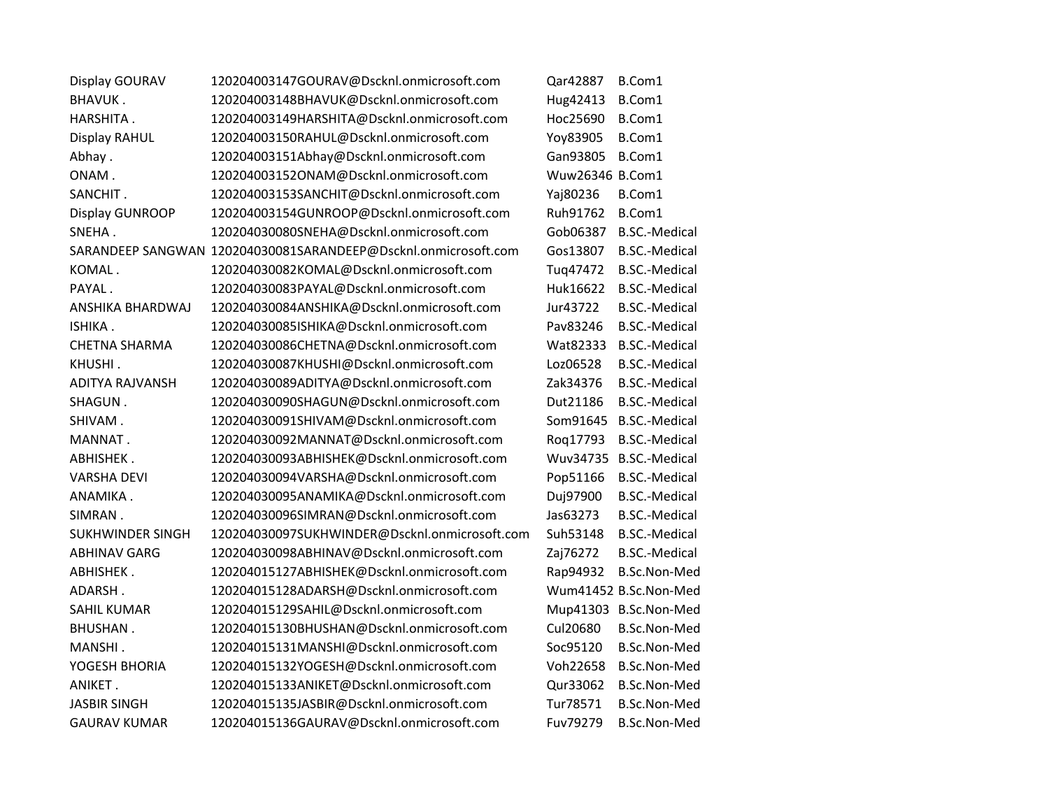| Display GOURAV          | 120204003147GOURAV@Dscknl.onmicrosoft.com                      | Qar42887        | B.Com1                |
|-------------------------|----------------------------------------------------------------|-----------------|-----------------------|
| <b>BHAVUK.</b>          | 120204003148BHAVUK@Dscknl.onmicrosoft.com                      | Hug42413        | B.Com1                |
| HARSHITA.               | 120204003149HARSHITA@Dscknl.onmicrosoft.com                    | Hoc25690        | B.Com1                |
| Display RAHUL           | 120204003150RAHUL@Dscknl.onmicrosoft.com                       | Yoy83905        | B.Com1                |
| Abhay.                  | 120204003151Abhay@Dscknl.onmicrosoft.com                       | Gan93805        | B.Com1                |
| ONAM.                   | 120204003152ONAM@Dscknl.onmicrosoft.com                        | Wuw26346 B.Com1 |                       |
| SANCHIT.                | 120204003153SANCHIT@Dscknl.onmicrosoft.com                     | Yaj80236        | B.Com1                |
| Display GUNROOP         | 120204003154GUNROOP@Dscknl.onmicrosoft.com                     | Ruh91762        | B.Com1                |
| SNEHA.                  | 120204030080SNEHA@Dscknl.onmicrosoft.com                       | Gob06387        | <b>B.SC.-Medical</b>  |
|                         | SARANDEEP SANGWAN 120204030081SARANDEEP@Dscknl.onmicrosoft.com | Gos13807        | <b>B.SC.-Medical</b>  |
| KOMAL.                  | 120204030082KOMAL@Dscknl.onmicrosoft.com                       | Tug47472        | <b>B.SC.-Medical</b>  |
| PAYAL.                  | 120204030083PAYAL@Dscknl.onmicrosoft.com                       | Huk16622        | <b>B.SC.-Medical</b>  |
| ANSHIKA BHARDWAJ        | 120204030084ANSHIKA@Dscknl.onmicrosoft.com                     | Jur43722        | <b>B.SC.-Medical</b>  |
| ISHIKA.                 | 120204030085ISHIKA@Dscknl.onmicrosoft.com                      | Pav83246        | <b>B.SC.-Medical</b>  |
| <b>CHETNA SHARMA</b>    | 120204030086CHETNA@Dscknl.onmicrosoft.com                      | Wat82333        | <b>B.SC.-Medical</b>  |
| KHUSHI.                 | 120204030087KHUSHI@Dscknl.onmicrosoft.com                      | Loz06528        | <b>B.SC.-Medical</b>  |
| <b>ADITYA RAJVANSH</b>  | 120204030089ADITYA@Dscknl.onmicrosoft.com                      | Zak34376        | <b>B.SC.-Medical</b>  |
| SHAGUN.                 | 120204030090SHAGUN@Dscknl.onmicrosoft.com                      | Dut21186        | <b>B.SC.-Medical</b>  |
| SHIVAM.                 | 120204030091SHIVAM@Dscknl.onmicrosoft.com                      | Som91645        | <b>B.SC.-Medical</b>  |
| MANNAT.                 | 120204030092MANNAT@Dscknl.onmicrosoft.com                      | Roq17793        | <b>B.SC.-Medical</b>  |
| ABHISHEK.               | 120204030093ABHISHEK@Dscknl.onmicrosoft.com                    | Wuv34735        | <b>B.SC.-Medical</b>  |
| <b>VARSHA DEVI</b>      | 120204030094VARSHA@Dscknl.onmicrosoft.com                      | Pop51166        | <b>B.SC.-Medical</b>  |
| ANAMIKA.                | 120204030095ANAMIKA@Dscknl.onmicrosoft.com                     | Duj97900        | <b>B.SC.-Medical</b>  |
| SIMRAN.                 | 120204030096SIMRAN@Dscknl.onmicrosoft.com                      | Jas63273        | <b>B.SC.-Medical</b>  |
| <b>SUKHWINDER SINGH</b> | 120204030097SUKHWINDER@Dscknl.onmicrosoft.com                  | Suh53148        | <b>B.SC.-Medical</b>  |
| <b>ABHINAV GARG</b>     | 120204030098ABHINAV@Dscknl.onmicrosoft.com                     | Zaj76272        | <b>B.SC.-Medical</b>  |
| ABHISHEK.               | 120204015127ABHISHEK@Dscknl.onmicrosoft.com                    | Rap94932        | B.Sc.Non-Med          |
| ADARSH.                 | 120204015128ADARSH@Dscknl.onmicrosoft.com                      |                 | Wum41452 B.Sc.Non-Med |
| <b>SAHIL KUMAR</b>      | 120204015129SAHIL@Dscknl.onmicrosoft.com                       |                 | Mup41303 B.Sc.Non-Med |
| <b>BHUSHAN.</b>         | 120204015130BHUSHAN@Dscknl.onmicrosoft.com                     | Cul20680        | <b>B.Sc.Non-Med</b>   |
| MANSHI.                 | 120204015131MANSHI@Dscknl.onmicrosoft.com                      | Soc95120        | <b>B.Sc.Non-Med</b>   |
| YOGESH BHORIA           | 120204015132YOGESH@Dscknl.onmicrosoft.com                      | Voh22658        | B.Sc.Non-Med          |
| ANIKET.                 | 120204015133ANIKET@Dscknl.onmicrosoft.com                      | Qur33062        | B.Sc.Non-Med          |
| <b>JASBIR SINGH</b>     | 120204015135JASBIR@Dscknl.onmicrosoft.com                      | Tur78571        | <b>B.Sc.Non-Med</b>   |
| <b>GAURAV KUMAR</b>     | 120204015136GAURAV@Dscknl.onmicrosoft.com                      | Fuv79279        | B.Sc.Non-Med          |